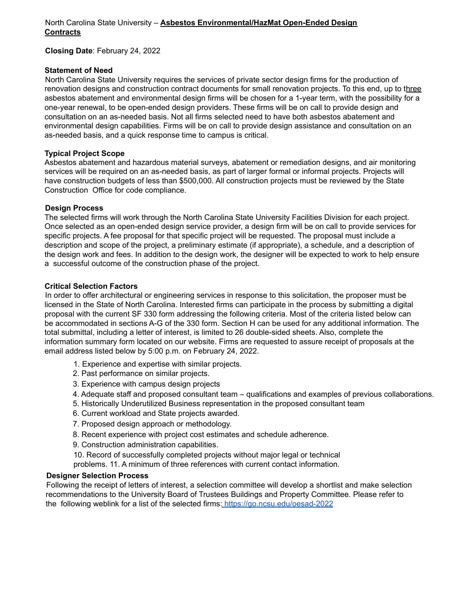# North Carolina State University – **Asbestos Environmental/HazMat Open-Ended Design Contracts**

**Closing Date**: February 24, 2022

## **Statement of Need**

North Carolina State University requires the services of private sector design firms for the production of renovation designs and construction contract documents for small renovation projects. To this end, up to three asbestos abatement and environmental design firms will be chosen for a 1-year term, with the possibility for a one-year renewal, to be open-ended design providers. These firms will be on call to provide design and consultation on an as-needed basis. Not all firms selected need to have both asbestos abatement and environmental design capabilities. Firms will be on call to provide design assistance and consultation on an as-needed basis, and a quick response time to campus is critical.

## **Typical Project Scope**

Asbestos abatement and hazardous material surveys, abatement or remediation designs, and air monitoring services will be required on an as-needed basis, as part of larger formal or informal projects. Projects will have construction budgets of less than \$500,000. All construction projects must be reviewed by the State Construction Office for code compliance.

## **Design Process**

The selected firms will work through the North Carolina State University Facilities Division for each project. Once selected as an open-ended design service provider, a design firm will be on call to provide services for specific projects. A fee proposal for that specific project will be requested. The proposal must include a description and scope of the project, a preliminary estimate (if appropriate), a schedule, and a description of the design work and fees. In addition to the design work, the designer will be expected to work to help ensure a successful outcome of the construction phase of the project.

## **Critical Selection Factors**

In order to offer architectural or engineering services in response to this solicitation, the proposer must be licensed in the State of North Carolina. Interested firms can participate in the process by submitting a digital proposal with the current SF 330 form addressing the following criteria. Most of the criteria listed below can be accommodated in sections A-G of the 330 form. Section H can be used for any additional information. The total submittal, including a letter of interest, is limited to 26 double-sided sheets. Also, complete the information summary form located on our website. Firms are requested to assure receipt of proposals at the email address listed below by 5:00 p.m. on February 24, 2022.

- 1. Experience and expertise with similar projects.
- 2. Past performance on similar projects.
- 3. Experience with campus design projects
- 4. Adequate staff and proposed consultant team qualifications and examples of previous collaborations.
- 5. Historically Underutilized Business representation in the proposed consultant team
- 6. Current workload and State projects awarded.
- 7. Proposed design approach or methodology.
- 8. Recent experience with project cost estimates and schedule adherence.
- 9. Construction administration capabilities.

10. Record of successfully completed projects without major legal or technical

problems. 11. A minimum of three references with current contact information.

#### **Designer Selection Process**

Following the receipt of letters of interest, a selection committee will develop a shortlist and make selection recommendations to the University Board of Trustees Buildings and Property Committee. Please refer to the following weblink for a list of the selected firms: <https://go.ncsu.edu/oesad-2022>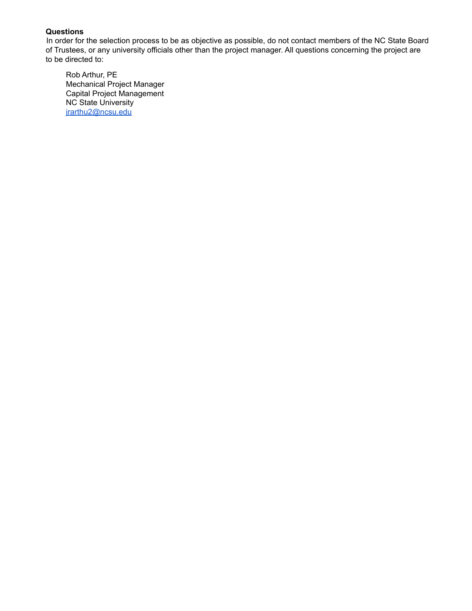In order for the selection process to be as objective as possible, do not contact members of the NC State Board of Trustees, or any university officials other than the project manager. All questions concerning the project are to be directed to:

Rob Arthur, PE Mechanical Project Manager Capital Project Management NC State University [jrarthu2@ncsu.edu](mailto:jrarthu2@ncsu.edu)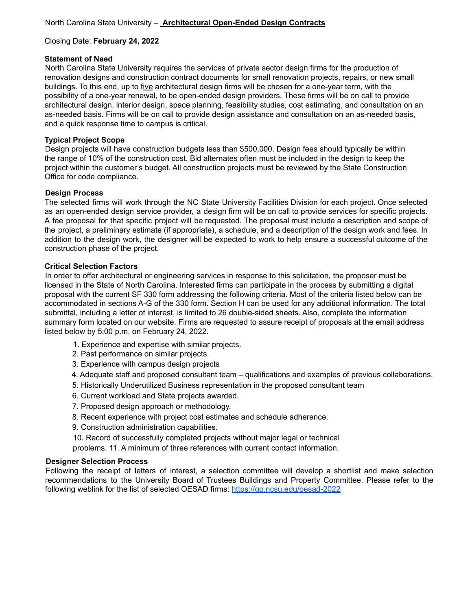#### **Statement of Need**

North Carolina State University requires the services of private sector design firms for the production of renovation designs and construction contract documents for small renovation projects, repairs, or new small buildings. To this end, up to five architectural design firms will be chosen for a one-year term, with the possibility of a one-year renewal, to be open-ended design providers. These firms will be on call to provide architectural design, interior design, space planning, feasibility studies, cost estimating, and consultation on an as-needed basis. Firms will be on call to provide design assistance and consultation on an as-needed basis, and a quick response time to campus is critical.

# **Typical Project Scope**

Design projects will have construction budgets less than \$500,000. Design fees should typically be within the range of 10% of the construction cost. Bid alternates often must be included in the design to keep the project within the customer's budget. All construction projects must be reviewed by the State Construction Office for code compliance.

#### **Design Process**

The selected firms will work through the NC State University Facilities Division for each project. Once selected as an open-ended design service provider, a design firm will be on call to provide services for specific projects. A fee proposal for that specific project will be requested. The proposal must include a description and scope of the project, a preliminary estimate (if appropriate), a schedule, and a description of the design work and fees. In addition to the design work, the designer will be expected to work to help ensure a successful outcome of the construction phase of the project.

## **Critical Selection Factors**

In order to offer architectural or engineering services in response to this solicitation, the proposer must be licensed in the State of North Carolina. Interested firms can participate in the process by submitting a digital proposal with the current SF 330 form addressing the following criteria. Most of the criteria listed below can be accommodated in sections A-G of the 330 form. Section H can be used for any additional information. The total submittal, including a letter of interest, is limited to 26 double-sided sheets. Also, complete the information summary form located on our website. Firms are requested to assure receipt of proposals at the email address listed below by 5:00 p.m. on February 24, 2022.

- 1. Experience and expertise with similar projects.
- 2. Past performance on similar projects.
- 3. Experience with campus design projects
- 4. Adequate staff and proposed consultant team qualifications and examples of previous collaborations.
- 5. Historically Underutilized Business representation in the proposed consultant team
- 6. Current workload and State projects awarded.
- 7. Proposed design approach or methodology.
- 8. Recent experience with project cost estimates and schedule adherence.
- 9. Construction administration capabilities.

10. Record of successfully completed projects without major legal or technical

problems. 11. A minimum of three references with current contact information.

#### **Designer Selection Process**

Following the receipt of letters of interest, a selection committee will develop a shortlist and make selection recommendations to the University Board of Trustees Buildings and Property Committee. Please refer to the following weblink for the list of selected OESAD firms: <https://go.ncsu.edu/oesad-2022>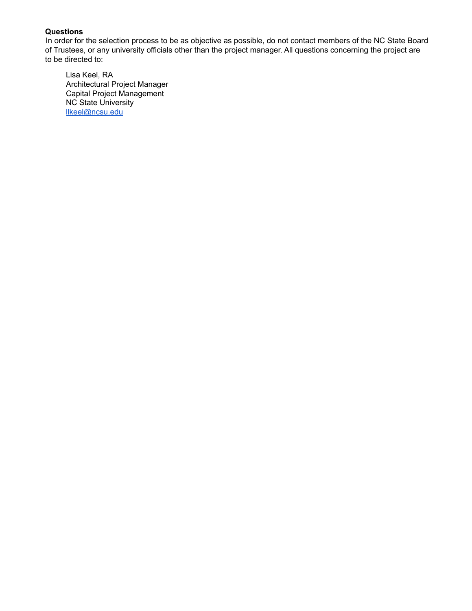In order for the selection process to be as objective as possible, do not contact members of the NC State Board of Trustees, or any university officials other than the project manager. All questions concerning the project are to be directed to:

Lisa Keel, RA Architectural Project Manager Capital Project Management NC State University [llkeel@ncsu.edu](mailto:llkeel@ncsu.edu)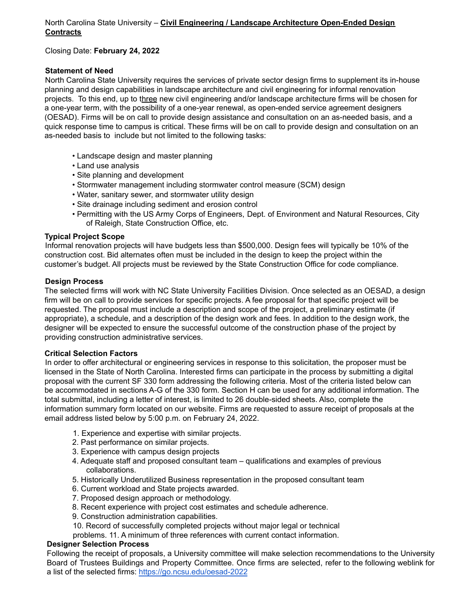# North Carolina State University – **Civil Engineering / Landscape Architecture Open-Ended Design Contracts**

Closing Date: **February 24, 2022**

# **Statement of Need**

North Carolina State University requires the services of private sector design firms to supplement its in-house planning and design capabilities in landscape architecture and civil engineering for informal renovation projects. To this end, up to three new civil engineering and/or landscape architecture firms will be chosen for a one-year term, with the possibility of a one-year renewal, as open-ended service agreement designers (OESAD). Firms will be on call to provide design assistance and consultation on an as-needed basis, and a quick response time to campus is critical. These firms will be on call to provide design and consultation on an as-needed basis to include but not limited to the following tasks:

- Landscape design and master planning
- Land use analysis
- Site planning and development
- Stormwater management including stormwater control measure (SCM) design
- Water, sanitary sewer, and stormwater utility design
- Site drainage including sediment and erosion control
- Permitting with the US Army Corps of Engineers, Dept. of Environment and Natural Resources, City of Raleigh, State Construction Office, etc.

## **Typical Project Scope**

Informal renovation projects will have budgets less than \$500,000. Design fees will typically be 10% of the construction cost. Bid alternates often must be included in the design to keep the project within the customer's budget. All projects must be reviewed by the State Construction Office for code compliance.

#### **Design Process**

The selected firms will work with NC State University Facilities Division. Once selected as an OESAD, a design firm will be on call to provide services for specific projects. A fee proposal for that specific project will be requested. The proposal must include a description and scope of the project, a preliminary estimate (if appropriate), a schedule, and a description of the design work and fees. In addition to the design work, the designer will be expected to ensure the successful outcome of the construction phase of the project by providing construction administrative services.

#### **Critical Selection Factors**

In order to offer architectural or engineering services in response to this solicitation, the proposer must be licensed in the State of North Carolina. Interested firms can participate in the process by submitting a digital proposal with the current SF 330 form addressing the following criteria. Most of the criteria listed below can be accommodated in sections A-G of the 330 form. Section H can be used for any additional information. The total submittal, including a letter of interest, is limited to 26 double-sided sheets. Also, complete the information summary form located on our website. Firms are requested to assure receipt of proposals at the email address listed below by 5:00 p.m. on February 24, 2022.

- 1. Experience and expertise with similar projects.
- 2. Past performance on similar projects.
- 3. Experience with campus design projects
- 4. Adequate staff and proposed consultant team qualifications and examples of previous collaborations.
- 5. Historically Underutilized Business representation in the proposed consultant team
- 6. Current workload and State projects awarded.
- 7. Proposed design approach or methodology.
- 8. Recent experience with project cost estimates and schedule adherence.
- 9. Construction administration capabilities.
- 10. Record of successfully completed projects without major legal or technical
- problems. 11. A minimum of three references with current contact information.

#### **Designer Selection Process**

Following the receipt of proposals, a University committee will make selection recommendations to the University Board of Trustees Buildings and Property Committee. Once firms are selected, refer to the following weblink for a list of the selected firms: https://go.ncsu.edu/oesad-2022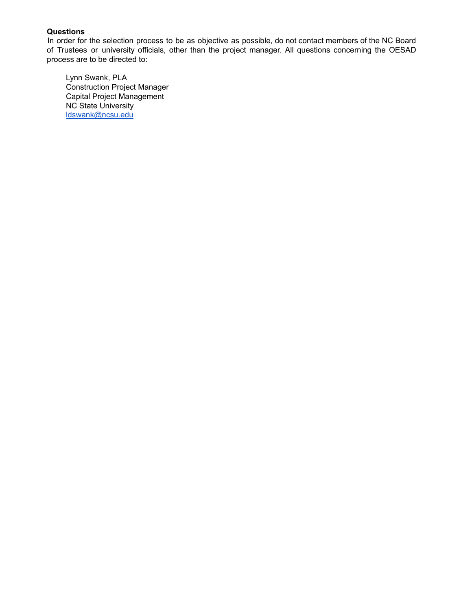In order for the selection process to be as objective as possible, do not contact members of the NC Board of Trustees or university officials, other than the project manager. All questions concerning the OESAD process are to be directed to:

Lynn Swank, PLA Construction Project Manager Capital Project Management NC State University [ldswank@ncsu.edu](mailto:ldswank@ncsu.edu)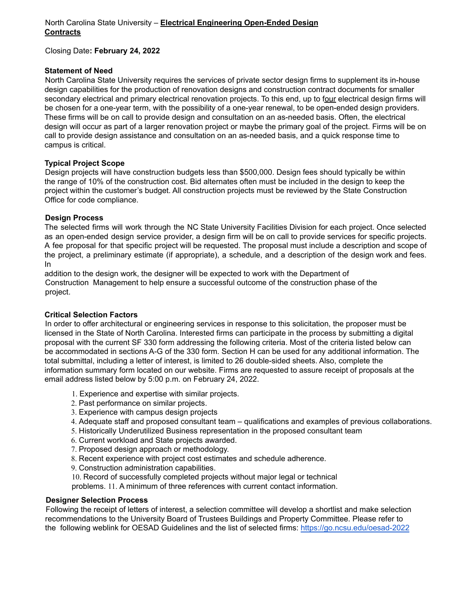## **Statement of Need**

North Carolina State University requires the services of private sector design firms to supplement its in-house design capabilities for the production of renovation designs and construction contract documents for smaller secondary electrical and primary electrical renovation projects. To this end, up to four electrical design firms will be chosen for a one-year term, with the possibility of a one-year renewal, to be open-ended design providers. These firms will be on call to provide design and consultation on an as-needed basis. Often, the electrical design will occur as part of a larger renovation project or maybe the primary goal of the project. Firms will be on call to provide design assistance and consultation on an as-needed basis, and a quick response time to campus is critical.

## **Typical Project Scope**

Design projects will have construction budgets less than \$500,000. Design fees should typically be within the range of 10% of the construction cost. Bid alternates often must be included in the design to keep the project within the customer's budget. All construction projects must be reviewed by the State Construction Office for code compliance.

## **Design Process**

The selected firms will work through the NC State University Facilities Division for each project. Once selected as an open-ended design service provider, a design firm will be on call to provide services for specific projects. A fee proposal for that specific project will be requested. The proposal must include a description and scope of the project, a preliminary estimate (if appropriate), a schedule, and a description of the design work and fees. In

addition to the design work, the designer will be expected to work with the Department of Construction Management to help ensure a successful outcome of the construction phase of the project.

# **Critical Selection Factors**

In order to offer architectural or engineering services in response to this solicitation, the proposer must be licensed in the State of North Carolina. Interested firms can participate in the process by submitting a digital proposal with the current SF 330 form addressing the following criteria. Most of the criteria listed below can be accommodated in sections A-G of the 330 form. Section H can be used for any additional information. The total submittal, including a letter of interest, is limited to 26 double-sided sheets. Also, complete the information summary form located on our website. Firms are requested to assure receipt of proposals at the email address listed below by 5:00 p.m. on February 24, 2022.

- 1. Experience and expertise with similar projects.
- 2. Past performance on similar projects.
- 3. Experience with campus design projects
- 4. Adequate staff and proposed consultant team qualifications and examples of previous collaborations.
- 5. Historically Underutilized Business representation in the proposed consultant team
- 6. Current workload and State projects awarded.
- 7. Proposed design approach or methodology.
- 8. Recent experience with project cost estimates and schedule adherence.
- 9. Construction administration capabilities.

10. Record of successfully completed projects without major legal or technical

problems. 11. A minimum of three references with current contact information.

#### **Designer Selection Process**

Following the receipt of letters of interest, a selection committee will develop a shortlist and make selection recommendations to the University Board of Trustees Buildings and Property Committee. Please refer to the following weblink for OESAD Guidelines and the list of selected firms: <https://go.ncsu.edu/oesad-2022>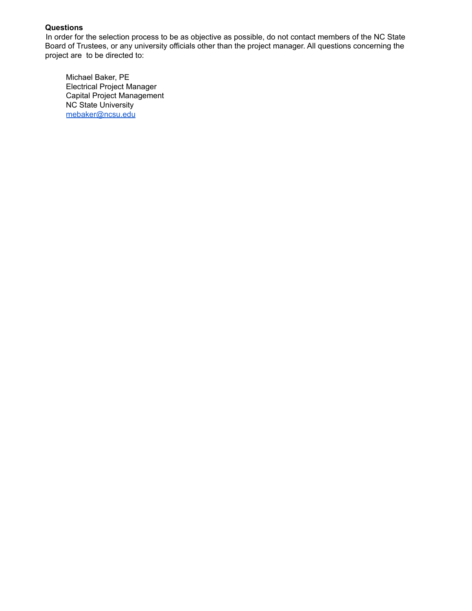In order for the selection process to be as objective as possible, do not contact members of the NC State Board of Trustees, or any university officials other than the project manager. All questions concerning the project are to be directed to:

Michael Baker, PE Electrical Project Manager Capital Project Management NC State University [mebaker@ncsu.edu](mailto:mebaker@ncsu.edu)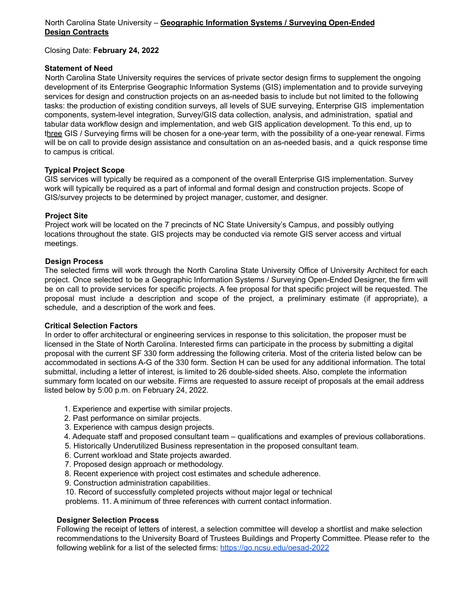# North Carolina State University – **Geographic Information Systems / Surveying Open-Ended Design Contracts**

Closing Date: **February 24, 2022**

## **Statement of Need**

North Carolina State University requires the services of private sector design firms to supplement the ongoing development of its Enterprise Geographic Information Systems (GIS) implementation and to provide surveying services for design and construction projects on an as-needed basis to include but not limited to the following tasks: the production of existing condition surveys, all levels of SUE surveying, Enterprise GIS implementation components, system-level integration, Survey/GIS data collection, analysis, and administration, spatial and tabular data workflow design and implementation, and web GIS application development. To this end, up to three GIS / Surveying firms will be chosen for a one-year term, with the possibility of a one-year renewal. Firms will be on call to provide design assistance and consultation on an as-needed basis, and a quick response time to campus is critical.

## **Typical Project Scope**

GIS services will typically be required as a component of the overall Enterprise GIS implementation. Survey work will typically be required as a part of informal and formal design and construction projects. Scope of GIS/survey projects to be determined by project manager, customer, and designer.

## **Project Site**

Project work will be located on the 7 precincts of NC State University's Campus, and possibly outlying locations throughout the state. GIS projects may be conducted via remote GIS server access and virtual meetings.

## **Design Process**

The selected firms will work through the North Carolina State University Office of University Architect for each project. Once selected to be a Geographic Information Systems / Surveying Open-Ended Designer, the firm will be on call to provide services for specific projects. A fee proposal for that specific project will be requested. The proposal must include a description and scope of the project, a preliminary estimate (if appropriate), a schedule, and a description of the work and fees.

#### **Critical Selection Factors**

In order to offer architectural or engineering services in response to this solicitation, the proposer must be licensed in the State of North Carolina. Interested firms can participate in the process by submitting a digital proposal with the current SF 330 form addressing the following criteria. Most of the criteria listed below can be accommodated in sections A-G of the 330 form. Section H can be used for any additional information. The total submittal, including a letter of interest, is limited to 26 double-sided sheets. Also, complete the information summary form located on our website. Firms are requested to assure receipt of proposals at the email address listed below by 5:00 p.m. on February 24, 2022.

- 1. Experience and expertise with similar projects.
- 2. Past performance on similar projects.
- 3. Experience with campus design projects.
- 4. Adequate staff and proposed consultant team qualifications and examples of previous collaborations.
- 5. Historically Underutilized Business representation in the proposed consultant team.
- 6. Current workload and State projects awarded.
- 7. Proposed design approach or methodology.
- 8. Recent experience with project cost estimates and schedule adherence.
- 9. Construction administration capabilities.
- 10. Record of successfully completed projects without major legal or technical

problems. 11. A minimum of three references with current contact information.

#### **Designer Selection Process**

Following the receipt of letters of interest, a selection committee will develop a shortlist and make selection recommendations to the University Board of Trustees Buildings and Property Committee. Please refer to the following weblink for a list of the selected firms: <https://go.ncsu.edu/oesad-2022>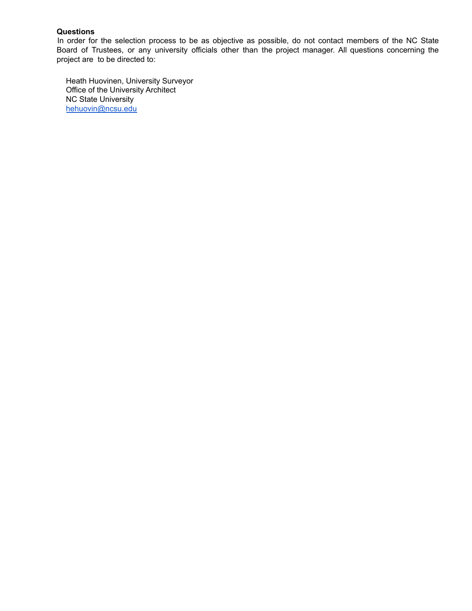In order for the selection process to be as objective as possible, do not contact members of the NC State Board of Trustees, or any university officials other than the project manager. All questions concerning the project are to be directed to:

Heath Huovinen, University Surveyor Office of the University Architect NC State University [hehuovin@ncsu.edu](mailto:hehuovin@ncsu.edu)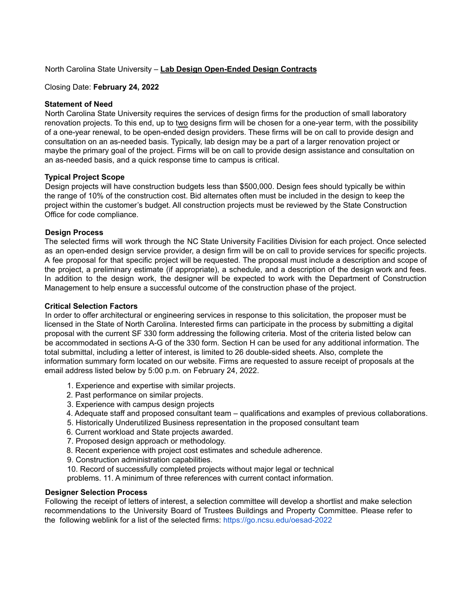## North Carolina State University – **Lab Design Open-Ended Design Contracts**

#### Closing Date: **February 24, 2022**

#### **Statement of Need**

North Carolina State University requires the services of design firms for the production of small laboratory renovation projects. To this end, up to two designs firm will be chosen for a one-year term, with the possibility of a one-year renewal, to be open-ended design providers. These firms will be on call to provide design and consultation on an as-needed basis. Typically, lab design may be a part of a larger renovation project or maybe the primary goal of the project. Firms will be on call to provide design assistance and consultation on an as-needed basis, and a quick response time to campus is critical.

## **Typical Project Scope**

Design projects will have construction budgets less than \$500,000. Design fees should typically be within the range of 10% of the construction cost. Bid alternates often must be included in the design to keep the project within the customer's budget. All construction projects must be reviewed by the State Construction Office for code compliance.

## **Design Process**

The selected firms will work through the NC State University Facilities Division for each project. Once selected as an open-ended design service provider, a design firm will be on call to provide services for specific projects. A fee proposal for that specific project will be requested. The proposal must include a description and scope of the project, a preliminary estimate (if appropriate), a schedule, and a description of the design work and fees. In addition to the design work, the designer will be expected to work with the Department of Construction Management to help ensure a successful outcome of the construction phase of the project.

#### **Critical Selection Factors**

In order to offer architectural or engineering services in response to this solicitation, the proposer must be licensed in the State of North Carolina. Interested firms can participate in the process by submitting a digital proposal with the current SF 330 form addressing the following criteria. Most of the criteria listed below can be accommodated in sections A-G of the 330 form. Section H can be used for any additional information. The total submittal, including a letter of interest, is limited to 26 double-sided sheets. Also, complete the information summary form located on our website. Firms are requested to assure receipt of proposals at the email address listed below by 5:00 p.m. on February 24, 2022.

- 1. Experience and expertise with similar projects.
- 2. Past performance on similar projects.
- 3. Experience with campus design projects
- 4. Adequate staff and proposed consultant team qualifications and examples of previous collaborations.
- 5. Historically Underutilized Business representation in the proposed consultant team
- 6. Current workload and State projects awarded.
- 7. Proposed design approach or methodology.
- 8. Recent experience with project cost estimates and schedule adherence.
- 9. Construction administration capabilities.
- 10. Record of successfully completed projects without major legal or technical

problems. 11. A minimum of three references with current contact information.

#### **Designer Selection Process**

Following the receipt of letters of interest, a selection committee will develop a shortlist and make selection recommendations to the University Board of Trustees Buildings and Property Committee. Please refer to the following weblink for a list of the selected firms: https://go.ncsu.edu/oesad-2022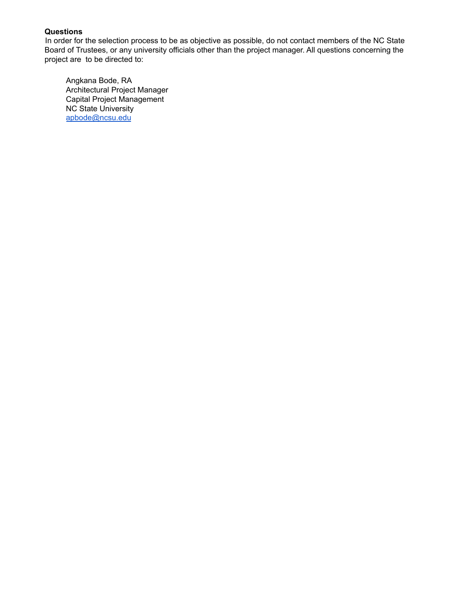In order for the selection process to be as objective as possible, do not contact members of the NC State Board of Trustees, or any university officials other than the project manager. All questions concerning the project are to be directed to:

Angkana Bode, RA Architectural Project Manager Capital Project Management NC State University [apbode@ncsu.edu](mailto:apbode@ncsu.edu)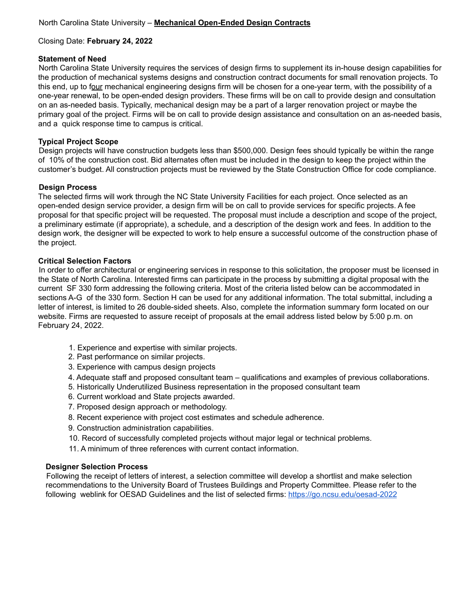## **Statement of Need**

North Carolina State University requires the services of design firms to supplement its in-house design capabilities for the production of mechanical systems designs and construction contract documents for small renovation projects. To this end, up to four mechanical engineering designs firm will be chosen for a one-year term, with the possibility of a one-year renewal, to be open-ended design providers. These firms will be on call to provide design and consultation on an as-needed basis. Typically, mechanical design may be a part of a larger renovation project or maybe the primary goal of the project. Firms will be on call to provide design assistance and consultation on an as-needed basis, and a quick response time to campus is critical.

# **Typical Project Scope**

Design projects will have construction budgets less than \$500,000. Design fees should typically be within the range of 10% of the construction cost. Bid alternates often must be included in the design to keep the project within the customer's budget. All construction projects must be reviewed by the State Construction Office for code compliance.

# **Design Process**

The selected firms will work through the NC State University Facilities for each project. Once selected as an open-ended design service provider, a design firm will be on call to provide services for specific projects. A fee proposal for that specific project will be requested. The proposal must include a description and scope of the project, a preliminary estimate (if appropriate), a schedule, and a description of the design work and fees. In addition to the design work, the designer will be expected to work to help ensure a successful outcome of the construction phase of the project.

# **Critical Selection Factors**

In order to offer architectural or engineering services in response to this solicitation, the proposer must be licensed in the State of North Carolina. Interested firms can participate in the process by submitting a digital proposal with the current SF 330 form addressing the following criteria. Most of the criteria listed below can be accommodated in sections A-G of the 330 form. Section H can be used for any additional information. The total submittal, including a letter of interest, is limited to 26 double-sided sheets. Also, complete the information summary form located on our website. Firms are requested to assure receipt of proposals at the email address listed below by 5:00 p.m. on February 24, 2022.

- 1. Experience and expertise with similar projects.
- 2. Past performance on similar projects.
- 3. Experience with campus design projects
- 4. Adequate staff and proposed consultant team qualifications and examples of previous collaborations.
- 5. Historically Underutilized Business representation in the proposed consultant team
- 6. Current workload and State projects awarded.
- 7. Proposed design approach or methodology.
- 8. Recent experience with project cost estimates and schedule adherence.
- 9. Construction administration capabilities.
- 10. Record of successfully completed projects without major legal or technical problems.
- 11. A minimum of three references with current contact information.

# **Designer Selection Process**

Following the receipt of letters of interest, a selection committee will develop a shortlist and make selection recommendations to the University Board of Trustees Buildings and Property Committee. Please refer to the following weblink for OESAD Guidelines and the list of selected firms: <https://go.ncsu.edu/oesad-2022>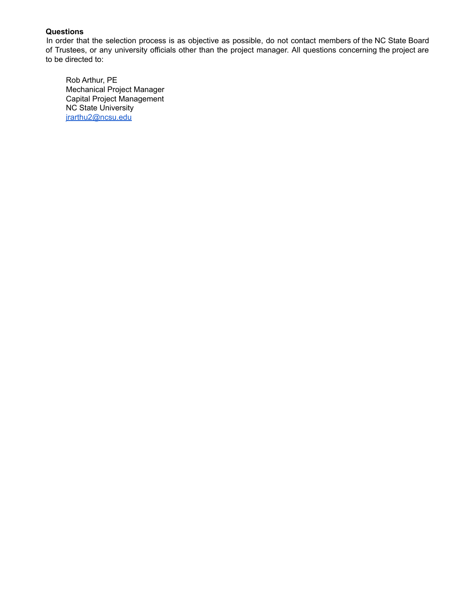In order that the selection process is as objective as possible, do not contact members of the NC State Board of Trustees, or any university officials other than the project manager. All questions concerning the project are to be directed to:

Rob Arthur, PE Mechanical Project Manager Capital Project Management NC State University [jrarthu2@ncsu.edu](mailto:jrarthu2@ncsu.edu)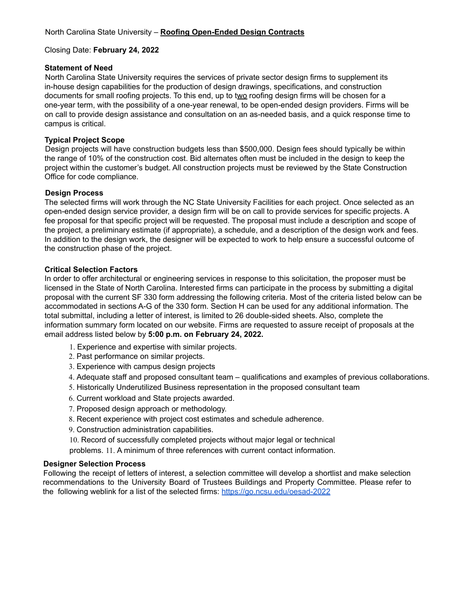#### **Statement of Need**

North Carolina State University requires the services of private sector design firms to supplement its in-house design capabilities for the production of design drawings, specifications, and construction documents for small roofing projects. To this end, up to two roofing design firms will be chosen for a one-year term, with the possibility of a one-year renewal, to be open-ended design providers. Firms will be on call to provide design assistance and consultation on an as-needed basis, and a quick response time to campus is critical.

# **Typical Project Scope**

Design projects will have construction budgets less than \$500,000. Design fees should typically be within the range of 10% of the construction cost. Bid alternates often must be included in the design to keep the project within the customer's budget. All construction projects must be reviewed by the State Construction Office for code compliance.

## **Design Process**

The selected firms will work through the NC State University Facilities for each project. Once selected as an open-ended design service provider, a design firm will be on call to provide services for specific projects. A fee proposal for that specific project will be requested. The proposal must include a description and scope of the project, a preliminary estimate (if appropriate), a schedule, and a description of the design work and fees. In addition to the design work, the designer will be expected to work to help ensure a successful outcome of the construction phase of the project.

# **Critical Selection Factors**

In order to offer architectural or engineering services in response to this solicitation, the proposer must be licensed in the State of North Carolina. Interested firms can participate in the process by submitting a digital proposal with the current SF 330 form addressing the following criteria. Most of the criteria listed below can be accommodated in sections A-G of the 330 form. Section H can be used for any additional information. The total submittal, including a letter of interest, is limited to 26 double-sided sheets. Also, complete the information summary form located on our website. Firms are requested to assure receipt of proposals at the email address listed below by **5:00 p.m. on February 24, 2022.**

- 1. Experience and expertise with similar projects.
- 2. Past performance on similar projects.
- 3. Experience with campus design projects
- 4. Adequate staff and proposed consultant team qualifications and examples of previous collaborations.
- 5. Historically Underutilized Business representation in the proposed consultant team
- 6. Current workload and State projects awarded.
- 7. Proposed design approach or methodology.
- 8. Recent experience with project cost estimates and schedule adherence.
- 9. Construction administration capabilities.
- 10. Record of successfully completed projects without major legal or technical

problems. 11. A minimum of three references with current contact information.

#### **Designer Selection Process**

Following the receipt of letters of interest, a selection committee will develop a shortlist and make selection recommendations to the University Board of Trustees Buildings and Property Committee. Please refer to the following weblink for a list of the selected firms: <https://go.ncsu.edu/oesad-2022>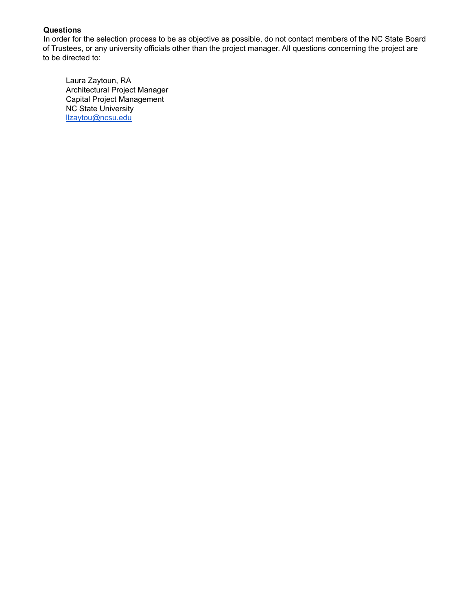In order for the selection process to be as objective as possible, do not contact members of the NC State Board of Trustees, or any university officials other than the project manager. All questions concerning the project are to be directed to:

Laura Zaytoun, RA Architectural Project Manager Capital Project Management NC State University [llzaytou@ncsu.edu](mailto:llzaytou@ncsu.edu)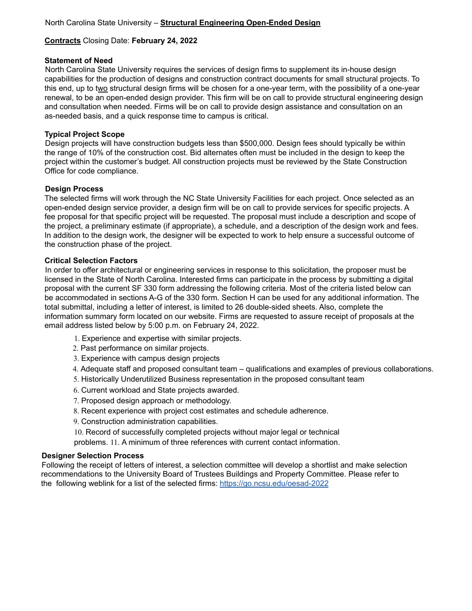# **Contracts** Closing Date: **February 24, 2022**

#### **Statement of Need**

North Carolina State University requires the services of design firms to supplement its in-house design capabilities for the production of designs and construction contract documents for small structural projects. To this end, up to two structural design firms will be chosen for a one-year term, with the possibility of a one-year renewal, to be an open-ended design provider. This firm will be on call to provide structural engineering design and consultation when needed. Firms will be on call to provide design assistance and consultation on an as-needed basis, and a quick response time to campus is critical.

## **Typical Project Scope**

Design projects will have construction budgets less than \$500,000. Design fees should typically be within the range of 10% of the construction cost. Bid alternates often must be included in the design to keep the project within the customer's budget. All construction projects must be reviewed by the State Construction Office for code compliance.

## **Design Process**

The selected firms will work through the NC State University Facilities for each project. Once selected as an open-ended design service provider, a design firm will be on call to provide services for specific projects. A fee proposal for that specific project will be requested. The proposal must include a description and scope of the project, a preliminary estimate (if appropriate), a schedule, and a description of the design work and fees. In addition to the design work, the designer will be expected to work to help ensure a successful outcome of the construction phase of the project.

## **Critical Selection Factors**

In order to offer architectural or engineering services in response to this solicitation, the proposer must be licensed in the State of North Carolina. Interested firms can participate in the process by submitting a digital proposal with the current SF 330 form addressing the following criteria. Most of the criteria listed below can be accommodated in sections A-G of the 330 form. Section H can be used for any additional information. The total submittal, including a letter of interest, is limited to 26 double-sided sheets. Also, complete the information summary form located on our website. Firms are requested to assure receipt of proposals at the email address listed below by 5:00 p.m. on February 24, 2022.

- 1. Experience and expertise with similar projects.
- 2. Past performance on similar projects.
- 3. Experience with campus design projects
- 4. Adequate staff and proposed consultant team qualifications and examples of previous collaborations.
- 5. Historically Underutilized Business representation in the proposed consultant team
- 6. Current workload and State projects awarded.
- 7. Proposed design approach or methodology.
- 8. Recent experience with project cost estimates and schedule adherence.
- 9. Construction administration capabilities.

10. Record of successfully completed projects without major legal or technical

problems. 11. A minimum of three references with current contact information.

#### **Designer Selection Process**

Following the receipt of letters of interest, a selection committee will develop a shortlist and make selection recommendations to the University Board of Trustees Buildings and Property Committee. Please refer to the following weblink for a list of the selected firms: <https://go.ncsu.edu/oesad-2022>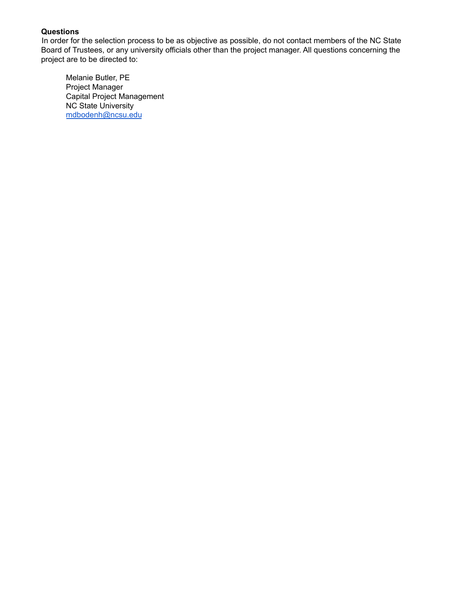In order for the selection process to be as objective as possible, do not contact members of the NC State Board of Trustees, or any university officials other than the project manager. All questions concerning the project are to be directed to:

Melanie Butler, PE Project Manager Capital Project Management NC State University [mdbodenh@ncsu.edu](mailto:mdbodenh@ncsu.edu)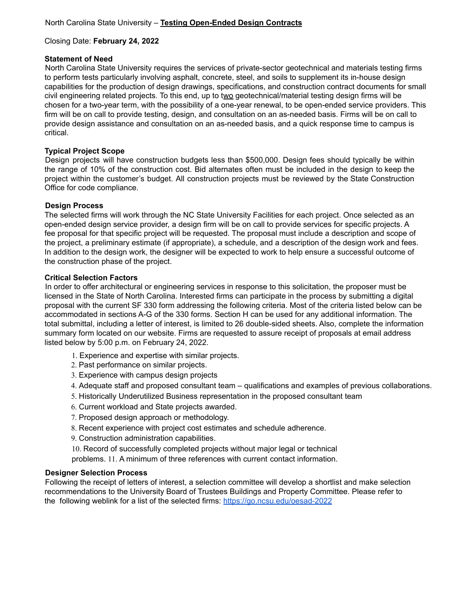#### **Statement of Need**

North Carolina State University requires the services of private-sector geotechnical and materials testing firms to perform tests particularly involving asphalt, concrete, steel, and soils to supplement its in-house design capabilities for the production of design drawings, specifications, and construction contract documents for small civil engineering related projects. To this end, up to two geotechnical/material testing design firms will be chosen for a two-year term, with the possibility of a one-year renewal, to be open-ended service providers. This firm will be on call to provide testing, design, and consultation on an as-needed basis. Firms will be on call to provide design assistance and consultation on an as-needed basis, and a quick response time to campus is critical.

## **Typical Project Scope**

Design projects will have construction budgets less than \$500,000. Design fees should typically be within the range of 10% of the construction cost. Bid alternates often must be included in the design to keep the project within the customer's budget. All construction projects must be reviewed by the State Construction Office for code compliance.

## **Design Process**

The selected firms will work through the NC State University Facilities for each project. Once selected as an open-ended design service provider, a design firm will be on call to provide services for specific projects. A fee proposal for that specific project will be requested. The proposal must include a description and scope of the project, a preliminary estimate (if appropriate), a schedule, and a description of the design work and fees. In addition to the design work, the designer will be expected to work to help ensure a successful outcome of the construction phase of the project.

#### **Critical Selection Factors**

In order to offer architectural or engineering services in response to this solicitation, the proposer must be licensed in the State of North Carolina. Interested firms can participate in the process by submitting a digital proposal with the current SF 330 form addressing the following criteria. Most of the criteria listed below can be accommodated in sections A-G of the 330 forms. Section H can be used for any additional information. The total submittal, including a letter of interest, is limited to 26 double-sided sheets. Also, complete the information summary form located on our website. Firms are requested to assure receipt of proposals at email address listed below by 5:00 p.m. on February 24, 2022.

- 1. Experience and expertise with similar projects.
- 2. Past performance on similar projects.
- 3. Experience with campus design projects
- 4. Adequate staff and proposed consultant team qualifications and examples of previous collaborations.
- 5. Historically Underutilized Business representation in the proposed consultant team
- 6. Current workload and State projects awarded.
- 7. Proposed design approach or methodology.
- 8. Recent experience with project cost estimates and schedule adherence.
- 9. Construction administration capabilities.
- 10. Record of successfully completed projects without major legal or technical
- problems. 11. A minimum of three references with current contact information.

#### **Designer Selection Process**

Following the receipt of letters of interest, a selection committee will develop a shortlist and make selection recommendations to the University Board of Trustees Buildings and Property Committee. Please refer to the following weblink for a list of the selected firms: <https://go.ncsu.edu/oesad-2022>